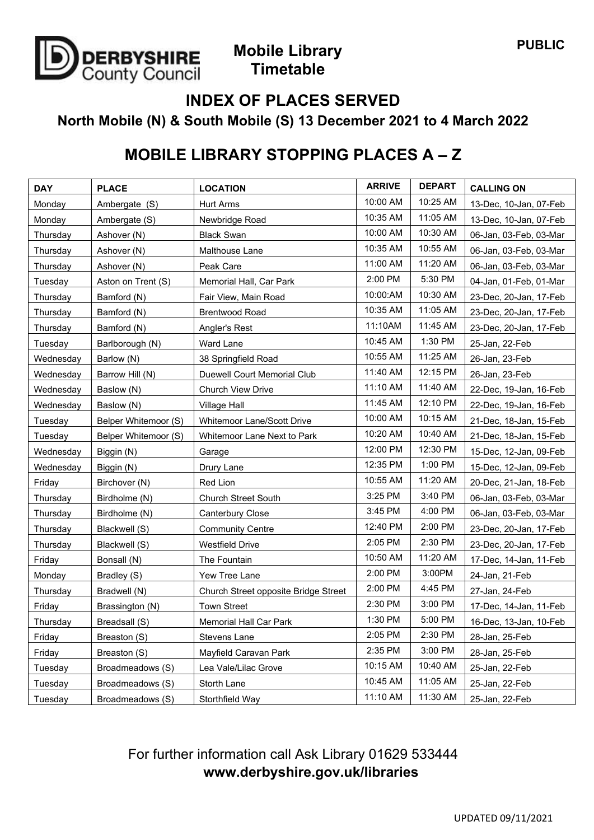

### **Mobile Library Timetable**

#### **INDEX OF PLACES SERVED**

**North Mobile (N) & South Mobile (S) 13 December 2021 to 4 March 2022**

# **MOBILE LIBRARY STOPPING PLACES A – Z**

| <b>DAY</b> | <b>PLACE</b>         | <b>LOCATION</b>                      | <b>ARRIVE</b> | <b>DEPART</b> | <b>CALLING ON</b>      |
|------------|----------------------|--------------------------------------|---------------|---------------|------------------------|
| Monday     | Ambergate (S)        | <b>Hurt Arms</b>                     | 10:00 AM      | 10:25 AM      | 13-Dec, 10-Jan, 07-Feb |
| Monday     | Ambergate (S)        | Newbridge Road                       | 10:35 AM      | 11:05 AM      | 13-Dec, 10-Jan, 07-Feb |
| Thursday   | Ashover (N)          | <b>Black Swan</b>                    | 10:00 AM      | 10:30 AM      | 06-Jan, 03-Feb, 03-Mar |
| Thursday   | Ashover (N)          | Malthouse Lane                       | 10:35 AM      | 10:55 AM      | 06-Jan, 03-Feb, 03-Mar |
| Thursday   | Ashover (N)          | Peak Care                            | 11:00 AM      | 11:20 AM      | 06-Jan, 03-Feb, 03-Mar |
| Tuesday    | Aston on Trent (S)   | Memorial Hall, Car Park              | 2:00 PM       | 5:30 PM       | 04-Jan, 01-Feb, 01-Mar |
| Thursday   | Bamford (N)          | Fair View, Main Road                 | 10:00:AM      | 10:30 AM      | 23-Dec, 20-Jan, 17-Feb |
| Thursday   | Bamford (N)          | <b>Brentwood Road</b>                | 10:35 AM      | 11:05 AM      | 23-Dec, 20-Jan, 17-Feb |
| Thursday   | Bamford (N)          | Angler's Rest                        | 11:10AM       | 11:45 AM      | 23-Dec, 20-Jan, 17-Feb |
| Tuesday    | Barlborough (N)      | Ward Lane                            | 10:45 AM      | 1:30 PM       | 25-Jan, 22-Feb         |
| Wednesday  | Barlow (N)           | 38 Springfield Road                  | 10:55 AM      | 11:25 AM      | 26-Jan, 23-Feb         |
| Wednesday  | Barrow Hill (N)      | Duewell Court Memorial Club          | 11:40 AM      | 12:15 PM      | 26-Jan, 23-Feb         |
| Wednesday  | Baslow (N)           | <b>Church View Drive</b>             | 11:10 AM      | 11:40 AM      | 22-Dec, 19-Jan, 16-Feb |
| Wednesday  | Baslow (N)           | <b>Village Hall</b>                  | 11:45 AM      | 12:10 PM      | 22-Dec, 19-Jan, 16-Feb |
| Tuesday    | Belper Whitemoor (S) | <b>Whitemoor Lane/Scott Drive</b>    | 10:00 AM      | 10:15 AM      | 21-Dec, 18-Jan, 15-Feb |
| Tuesday    | Belper Whitemoor (S) | Whitemoor Lane Next to Park          | 10:20 AM      | 10:40 AM      | 21-Dec, 18-Jan, 15-Feb |
| Wednesday  | Biggin (N)           | Garage                               | 12:00 PM      | 12:30 PM      | 15-Dec, 12-Jan, 09-Feb |
| Wednesday  | Biggin (N)           | Drury Lane                           | 12:35 PM      | 1:00 PM       | 15-Dec, 12-Jan, 09-Feb |
| Friday     | Birchover (N)        | Red Lion                             | 10:55 AM      | 11:20 AM      | 20-Dec, 21-Jan, 18-Feb |
| Thursday   | Birdholme (N)        | Church Street South                  | 3:25 PM       | 3:40 PM       | 06-Jan, 03-Feb, 03-Mar |
| Thursday   | Birdholme (N)        | Canterbury Close                     | 3:45 PM       | 4:00 PM       | 06-Jan, 03-Feb, 03-Mar |
| Thursday   | Blackwell (S)        | <b>Community Centre</b>              | 12:40 PM      | 2:00 PM       | 23-Dec, 20-Jan, 17-Feb |
| Thursday   | Blackwell (S)        | <b>Westfield Drive</b>               | 2:05 PM       | 2:30 PM       | 23-Dec, 20-Jan, 17-Feb |
| Friday     | Bonsall (N)          | The Fountain                         | 10:50 AM      | 11:20 AM      | 17-Dec, 14-Jan, 11-Feb |
| Monday     | Bradley (S)          | Yew Tree Lane                        | 2:00 PM       | 3:00PM        | 24-Jan, 21-Feb         |
| Thursday   | Bradwell (N)         | Church Street opposite Bridge Street | 2:00 PM       | 4:45 PM       | 27-Jan, 24-Feb         |
| Friday     | Brassington (N)      | <b>Town Street</b>                   | 2:30 PM       | 3:00 PM       | 17-Dec, 14-Jan, 11-Feb |
| Thursday   | Breadsall (S)        | <b>Memorial Hall Car Park</b>        | 1:30 PM       | 5:00 PM       | 16-Dec, 13-Jan, 10-Feb |
| Friday     | Breaston (S)         | Stevens Lane                         | 2:05 PM       | 2:30 PM       | 28-Jan, 25-Feb         |
| Friday     | Breaston (S)         | Mayfield Caravan Park                | 2:35 PM       | 3:00 PM       | 28-Jan, 25-Feb         |
| Tuesday    | Broadmeadows (S)     | Lea Vale/Lilac Grove                 | 10:15 AM      | 10:40 AM      | 25-Jan, 22-Feb         |
| Tuesday    | Broadmeadows (S)     | Storth Lane                          | 10:45 AM      | 11:05 AM      | 25-Jan, 22-Feb         |
| Tuesday    | Broadmeadows (S)     | Storthfield Way                      | 11:10 AM      | 11:30 AM      | 25-Jan, 22-Feb         |

### For further information call Ask Library 01629 533444 **www.derbyshire.gov.uk/libraries**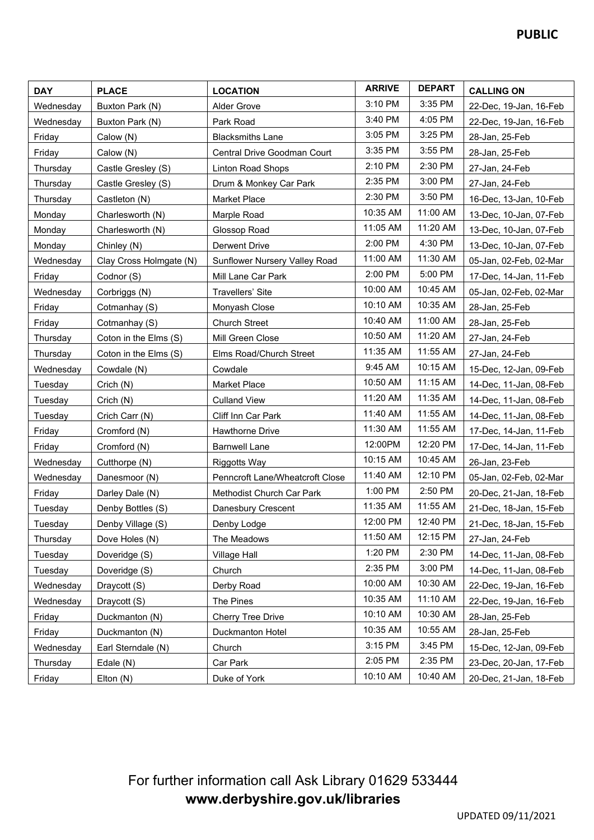| <b>DAY</b> | <b>PLACE</b>            | <b>LOCATION</b>                 | <b>ARRIVE</b> | <b>DEPART</b> | <b>CALLING ON</b>      |
|------------|-------------------------|---------------------------------|---------------|---------------|------------------------|
| Wednesday  | Buxton Park (N)         | <b>Alder Grove</b>              | 3:10 PM       | 3:35 PM       | 22-Dec, 19-Jan, 16-Feb |
| Wednesday  | Buxton Park (N)         | Park Road                       | 3:40 PM       | 4:05 PM       | 22-Dec, 19-Jan, 16-Feb |
| Friday     | Calow (N)               | <b>Blacksmiths Lane</b>         | 3:05 PM       | 3:25 PM       | 28-Jan, 25-Feb         |
| Friday     | Calow (N)               | Central Drive Goodman Court     | 3:35 PM       | 3:55 PM       | 28-Jan, 25-Feb         |
| Thursday   | Castle Gresley (S)      | Linton Road Shops               | 2:10 PM       | 2:30 PM       | 27-Jan, 24-Feb         |
| Thursday   | Castle Gresley (S)      | Drum & Monkey Car Park          | 2:35 PM       | 3:00 PM       | 27-Jan, 24-Feb         |
| Thursday   | Castleton (N)           | Market Place                    | 2:30 PM       | 3:50 PM       | 16-Dec, 13-Jan, 10-Feb |
| Monday     | Charlesworth (N)        | Marple Road                     | 10:35 AM      | 11:00 AM      | 13-Dec, 10-Jan, 07-Feb |
| Monday     | Charlesworth (N)        | Glossop Road                    | 11:05 AM      | 11:20 AM      | 13-Dec, 10-Jan, 07-Feb |
| Monday     | Chinley (N)             | Derwent Drive                   | 2:00 PM       | 4:30 PM       | 13-Dec, 10-Jan, 07-Feb |
| Wednesday  | Clay Cross Holmgate (N) | Sunflower Nursery Valley Road   | 11:00 AM      | 11:30 AM      | 05-Jan, 02-Feb, 02-Mar |
| Friday     | Codnor (S)              | Mill Lane Car Park              | 2:00 PM       | 5:00 PM       | 17-Dec, 14-Jan, 11-Feb |
| Wednesday  | Corbriggs (N)           | Travellers' Site                | 10:00 AM      | 10:45 AM      | 05-Jan, 02-Feb, 02-Mar |
| Friday     | Cotmanhay (S)           | Monyash Close                   | 10:10 AM      | 10:35 AM      | 28-Jan, 25-Feb         |
| Friday     | Cotmanhay (S)           | <b>Church Street</b>            | 10:40 AM      | 11:00 AM      | 28-Jan, 25-Feb         |
| Thursday   | Coton in the Elms (S)   | Mill Green Close                | 10:50 AM      | 11:20 AM      | 27-Jan, 24-Feb         |
| Thursday   | Coton in the Elms (S)   | Elms Road/Church Street         | 11:35 AM      | 11:55 AM      | 27-Jan, 24-Feb         |
| Wednesday  | Cowdale (N)             | Cowdale                         | 9:45 AM       | 10:15 AM      | 15-Dec, 12-Jan, 09-Feb |
| Tuesday    | Crich (N)               | Market Place                    | 10:50 AM      | 11:15 AM      | 14-Dec, 11-Jan, 08-Feb |
| Tuesday    | Crich (N)               | <b>Culland View</b>             | 11:20 AM      | 11:35 AM      | 14-Dec, 11-Jan, 08-Feb |
| Tuesday    | Crich Carr (N)          | Cliff Inn Car Park              | 11:40 AM      | 11:55 AM      | 14-Dec, 11-Jan, 08-Feb |
| Friday     | Cromford (N)            | Hawthorne Drive                 | 11:30 AM      | 11:55 AM      | 17-Dec, 14-Jan, 11-Feb |
| Friday     | Cromford (N)            | <b>Barnwell Lane</b>            | 12:00PM       | 12:20 PM      | 17-Dec, 14-Jan, 11-Feb |
| Wednesday  | Cutthorpe (N)           | Riggotts Way                    | 10:15 AM      | 10:45 AM      | 26-Jan, 23-Feb         |
| Wednesday  | Danesmoor (N)           | Penncroft Lane/Wheatcroft Close | 11:40 AM      | 12:10 PM      | 05-Jan, 02-Feb, 02-Mar |
| Friday     | Darley Dale (N)         | Methodist Church Car Park       | 1:00 PM       | 2:50 PM       | 20-Dec, 21-Jan, 18-Feb |
| Tuesday    | Denby Bottles (S)       | Danesbury Crescent              | 11:35 AM      | 11:55 AM      | 21-Dec, 18-Jan, 15-Feb |
| Tuesdav    | Denby Village (S)       | Denby Lodge                     | 12:00 PM      | 12:40 PM      | 21-Dec, 18-Jan, 15-Feb |
| Thursday   | Dove Holes (N)          | The Meadows                     | 11:50 AM      | 12:15 PM      | 27-Jan, 24-Feb         |
| Tuesday    | Doveridge (S)           | Village Hall                    | 1:20 PM       | 2:30 PM       | 14-Dec, 11-Jan, 08-Feb |
| Tuesday    | Doveridge (S)           | Church                          | 2:35 PM       | 3:00 PM       | 14-Dec, 11-Jan, 08-Feb |
| Wednesday  | Draycott (S)            | Derby Road                      | 10:00 AM      | 10:30 AM      | 22-Dec, 19-Jan, 16-Feb |
| Wednesday  | Draycott (S)            | The Pines                       | 10:35 AM      | 11:10 AM      | 22-Dec, 19-Jan, 16-Feb |
| Friday     | Duckmanton (N)          | Cherry Tree Drive               | 10:10 AM      | 10:30 AM      | 28-Jan, 25-Feb         |
| Friday     | Duckmanton (N)          | Duckmanton Hotel                | 10:35 AM      | 10:55 AM      | 28-Jan, 25-Feb         |
| Wednesday  | Earl Sterndale (N)      | Church                          | 3:15 PM       | 3:45 PM       | 15-Dec, 12-Jan, 09-Feb |
| Thursday   | Edale (N)               | Car Park                        | 2:05 PM       | 2:35 PM       | 23-Dec, 20-Jan, 17-Feb |
| Friday     | Elton (N)               | Duke of York                    | 10:10 AM      | 10:40 AM      | 20-Dec, 21-Jan, 18-Feb |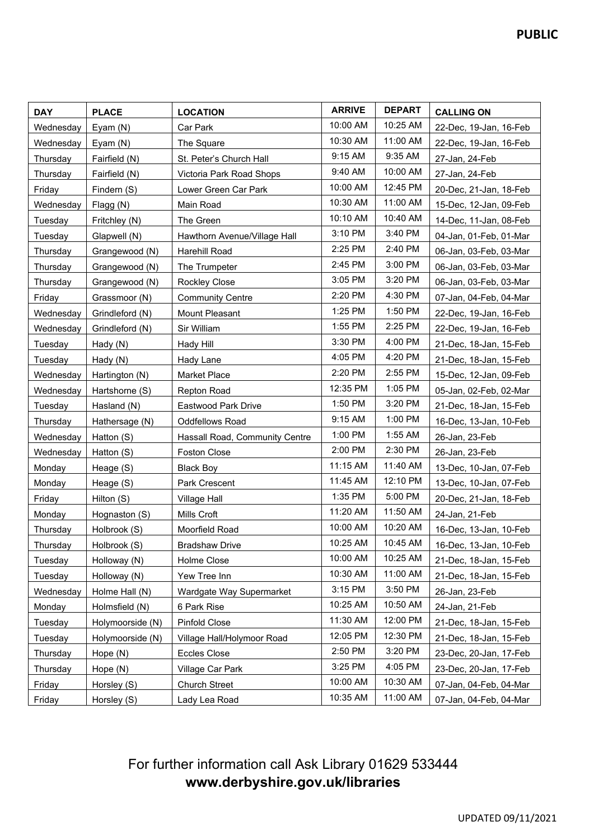| <b>DAY</b> | <b>PLACE</b>     | <b>LOCATION</b>                | <b>ARRIVE</b> | <b>DEPART</b> | <b>CALLING ON</b>      |
|------------|------------------|--------------------------------|---------------|---------------|------------------------|
| Wednesday  | Eyam (N)         | Car Park                       | 10:00 AM      | 10:25 AM      | 22-Dec, 19-Jan, 16-Feb |
| Wednesday  | Eyam (N)         | The Square                     | 10:30 AM      | 11:00 AM      | 22-Dec, 19-Jan, 16-Feb |
| Thursday   | Fairfield (N)    | St. Peter's Church Hall        | 9:15 AM       | 9:35 AM       | 27-Jan, 24-Feb         |
| Thursday   | Fairfield (N)    | Victoria Park Road Shops       | 9:40 AM       | 10:00 AM      | 27-Jan, 24-Feb         |
| Friday     | Findern (S)      | Lower Green Car Park           | 10:00 AM      | 12:45 PM      | 20-Dec, 21-Jan, 18-Feb |
| Wednesday  | Flagg (N)        | Main Road                      | 10:30 AM      | 11:00 AM      | 15-Dec, 12-Jan, 09-Feb |
| Tuesday    | Fritchley (N)    | The Green                      | 10:10 AM      | 10:40 AM      | 14-Dec, 11-Jan, 08-Feb |
| Tuesday    | Glapwell (N)     | Hawthorn Avenue/Village Hall   | 3:10 PM       | 3:40 PM       | 04-Jan, 01-Feb, 01-Mar |
| Thursday   | Grangewood (N)   | Harehill Road                  | 2:25 PM       | 2:40 PM       | 06-Jan, 03-Feb, 03-Mar |
| Thursday   | Grangewood (N)   | The Trumpeter                  | 2:45 PM       | 3:00 PM       | 06-Jan, 03-Feb, 03-Mar |
| Thursday   | Grangewood (N)   | Rockley Close                  | 3:05 PM       | 3:20 PM       | 06-Jan, 03-Feb, 03-Mar |
| Friday     | Grassmoor (N)    | <b>Community Centre</b>        | 2:20 PM       | 4:30 PM       | 07-Jan, 04-Feb, 04-Mar |
| Wednesday  | Grindleford (N)  | Mount Pleasant                 | 1:25 PM       | 1:50 PM       | 22-Dec, 19-Jan, 16-Feb |
| Wednesday  | Grindleford (N)  | Sir William                    | 1:55 PM       | 2:25 PM       | 22-Dec, 19-Jan, 16-Feb |
| Tuesday    | Hady (N)         | <b>Hady Hill</b>               | 3:30 PM       | 4:00 PM       | 21-Dec, 18-Jan, 15-Feb |
| Tuesday    | Hady (N)         | Hady Lane                      | 4:05 PM       | 4:20 PM       | 21-Dec, 18-Jan, 15-Feb |
| Wednesday  | Hartington (N)   | <b>Market Place</b>            | 2:20 PM       | 2:55 PM       | 15-Dec, 12-Jan, 09-Feb |
| Wednesday  | Hartshorne (S)   | Repton Road                    | 12:35 PM      | 1:05 PM       | 05-Jan, 02-Feb, 02-Mar |
| Tuesday    | Hasland (N)      | Eastwood Park Drive            | 1:50 PM       | 3:20 PM       | 21-Dec, 18-Jan, 15-Feb |
| Thursday   | Hathersage (N)   | <b>Oddfellows Road</b>         | 9:15 AM       | 1:00 PM       | 16-Dec, 13-Jan, 10-Feb |
| Wednesday  | Hatton (S)       | Hassall Road, Community Centre | 1:00 PM       | 1:55 AM       | 26-Jan, 23-Feb         |
| Wednesday  | Hatton (S)       | <b>Foston Close</b>            | 2:00 PM       | 2:30 PM       | 26-Jan, 23-Feb         |
| Monday     | Heage (S)        | <b>Black Boy</b>               | 11:15 AM      | 11:40 AM      | 13-Dec, 10-Jan, 07-Feb |
| Monday     | Heage (S)        | Park Crescent                  | 11:45 AM      | 12:10 PM      | 13-Dec, 10-Jan, 07-Feb |
| Friday     | Hilton (S)       | <b>Village Hall</b>            | 1:35 PM       | 5:00 PM       | 20-Dec, 21-Jan, 18-Feb |
| Monday     | Hognaston (S)    | Mills Croft                    | 11:20 AM      | 11:50 AM      | 24-Jan, 21-Feb         |
| Thursday   | Holbrook (S)     | Moorfield Road                 | 10:00 AM      | 10:20 AM      | 16-Dec, 13-Jan, 10-Feb |
| Thursday   | Holbrook (S)     | <b>Bradshaw Drive</b>          | 10:25 AM      | 10:45 AM      | 16-Dec, 13-Jan, 10-Feb |
| Tuesday    | Holloway (N)     | Holme Close                    | 10:00 AM      | 10:25 AM      | 21-Dec, 18-Jan, 15-Feb |
| Tuesday    | Holloway (N)     | Yew Tree Inn                   | 10:30 AM      | 11:00 AM      | 21-Dec, 18-Jan, 15-Feb |
| Wednesday  | Holme Hall (N)   | Wardgate Way Supermarket       | 3:15 PM       | 3:50 PM       | 26-Jan, 23-Feb         |
| Monday     | Holmsfield (N)   | 6 Park Rise                    | 10:25 AM      | 10:50 AM      | 24-Jan, 21-Feb         |
| Tuesday    | Holymoorside (N) | Pinfold Close                  | 11:30 AM      | 12:00 PM      | 21-Dec, 18-Jan, 15-Feb |
| Tuesday    | Holymoorside (N) | Village Hall/Holymoor Road     | 12:05 PM      | 12:30 PM      | 21-Dec, 18-Jan, 15-Feb |
| Thursday   | Hope (N)         | <b>Eccles Close</b>            | 2:50 PM       | 3:20 PM       | 23-Dec, 20-Jan, 17-Feb |
| Thursday   | Hope (N)         | Village Car Park               | 3:25 PM       | 4:05 PM       | 23-Dec, 20-Jan, 17-Feb |
| Friday     | Horsley (S)      | <b>Church Street</b>           | 10:00 AM      | 10:30 AM      | 07-Jan, 04-Feb, 04-Mar |
| Friday     | Horsley (S)      | Lady Lea Road                  | 10:35 AM      | 11:00 AM      | 07-Jan, 04-Feb, 04-Mar |

# For further information call Ask Library 01629 533444 **www.derbyshire.gov.uk/libraries**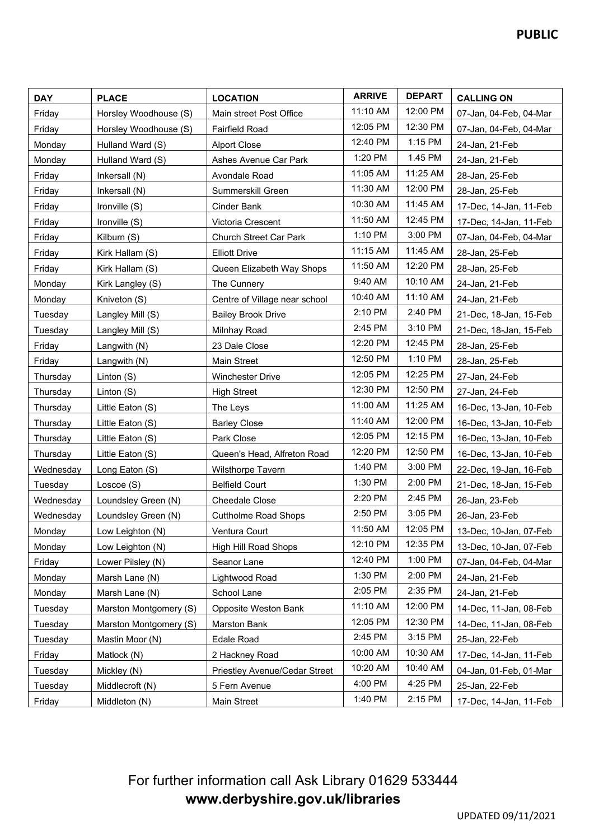| <b>DAY</b> | <b>PLACE</b>           | <b>LOCATION</b>               | <b>ARRIVE</b> | <b>DEPART</b> | <b>CALLING ON</b>      |
|------------|------------------------|-------------------------------|---------------|---------------|------------------------|
| Friday     | Horsley Woodhouse (S)  | Main street Post Office       | 11:10 AM      | 12:00 PM      | 07-Jan, 04-Feb, 04-Mar |
| Friday     | Horsley Woodhouse (S)  | <b>Fairfield Road</b>         | 12:05 PM      | 12:30 PM      | 07-Jan, 04-Feb, 04-Mar |
| Monday     | Hulland Ward (S)       | <b>Alport Close</b>           | 12:40 PM      | $1:15$ PM     | 24-Jan, 21-Feb         |
| Monday     | Hulland Ward (S)       | Ashes Avenue Car Park         | 1:20 PM       | 1.45 PM       | 24-Jan, 21-Feb         |
| Friday     | Inkersall (N)          | Avondale Road                 | 11:05 AM      | 11:25 AM      | 28-Jan, 25-Feb         |
| Friday     | Inkersall (N)          | Summerskill Green             | 11:30 AM      | 12:00 PM      | 28-Jan, 25-Feb         |
| Friday     | Ironville (S)          | Cinder Bank                   | 10:30 AM      | 11:45 AM      | 17-Dec, 14-Jan, 11-Feb |
| Friday     | Ironville (S)          | Victoria Crescent             | 11:50 AM      | 12:45 PM      | 17-Dec, 14-Jan, 11-Feb |
| Friday     | Kilburn (S)            | <b>Church Street Car Park</b> | 1:10 PM       | 3:00 PM       | 07-Jan, 04-Feb, 04-Mar |
| Friday     | Kirk Hallam (S)        | <b>Elliott Drive</b>          | 11:15 AM      | 11:45 AM      | 28-Jan, 25-Feb         |
| Friday     | Kirk Hallam (S)        | Queen Elizabeth Way Shops     | 11:50 AM      | 12:20 PM      | 28-Jan, 25-Feb         |
| Monday     | Kirk Langley (S)       | The Cunnery                   | 9:40 AM       | 10:10 AM      | 24-Jan, 21-Feb         |
| Monday     | Kniveton (S)           | Centre of Village near school | 10:40 AM      | 11:10 AM      | 24-Jan, 21-Feb         |
| Tuesday    | Langley Mill (S)       | <b>Bailey Brook Drive</b>     | 2:10 PM       | 2:40 PM       | 21-Dec, 18-Jan, 15-Feb |
| Tuesday    | Langley Mill (S)       | Milnhay Road                  | 2:45 PM       | 3:10 PM       | 21-Dec, 18-Jan, 15-Feb |
| Friday     | Langwith (N)           | 23 Dale Close                 | 12:20 PM      | 12:45 PM      | 28-Jan, 25-Feb         |
| Friday     | Langwith (N)           | Main Street                   | 12:50 PM      | 1:10 PM       | 28-Jan, 25-Feb         |
| Thursday   | Linton (S)             | <b>Winchester Drive</b>       | 12:05 PM      | 12:25 PM      | 27-Jan, 24-Feb         |
| Thursday   | Linton (S)             | <b>High Street</b>            | 12:30 PM      | 12:50 PM      | 27-Jan, 24-Feb         |
| Thursday   | Little Eaton (S)       | The Leys                      | 11:00 AM      | 11:25 AM      | 16-Dec, 13-Jan, 10-Feb |
| Thursday   | Little Eaton (S)       | <b>Barley Close</b>           | 11:40 AM      | 12:00 PM      | 16-Dec, 13-Jan, 10-Feb |
| Thursday   | Little Eaton (S)       | Park Close                    | 12:05 PM      | 12:15 PM      | 16-Dec, 13-Jan, 10-Feb |
| Thursday   | Little Eaton (S)       | Queen's Head, Alfreton Road   | 12:20 PM      | 12:50 PM      | 16-Dec, 13-Jan, 10-Feb |
| Wednesday  | Long Eaton (S)         | Wilsthorpe Tavern             | 1:40 PM       | 3:00 PM       | 22-Dec, 19-Jan, 16-Feb |
| Tuesday    | Loscoe (S)             | <b>Belfield Court</b>         | 1:30 PM       | 2:00 PM       | 21-Dec, 18-Jan, 15-Feb |
| Wednesday  | Loundsley Green (N)    | <b>Cheedale Close</b>         | 2:20 PM       | 2:45 PM       | 26-Jan, 23-Feb         |
| Wednesday  | Loundsley Green (N)    | <b>Cuttholme Road Shops</b>   | 2:50 PM       | 3:05 PM       | 26-Jan, 23-Feb         |
| Monday     | Low Leighton (N)       | Ventura Court                 | 11:50 AM      | 12:05 PM      | 13-Dec, 10-Jan, 07-Feb |
| Monday     | Low Leighton (N)       | <b>High Hill Road Shops</b>   | 12:10 PM      | 12:35 PM      | 13-Dec, 10-Jan, 07-Feb |
| Friday     | Lower Pilsley (N)      | Seanor Lane                   | 12:40 PM      | 1:00 PM       | 07-Jan, 04-Feb, 04-Mar |
| Monday     | Marsh Lane (N)         | Lightwood Road                | 1:30 PM       | 2:00 PM       | 24-Jan, 21-Feb         |
| Monday     | Marsh Lane (N)         | School Lane                   | 2:05 PM       | 2:35 PM       | 24-Jan, 21-Feb         |
| Tuesday    | Marston Montgomery (S) | Opposite Weston Bank          | 11:10 AM      | 12:00 PM      | 14-Dec, 11-Jan, 08-Feb |
| Tuesday    | Marston Montgomery (S) | Marston Bank                  | 12:05 PM      | 12:30 PM      | 14-Dec, 11-Jan, 08-Feb |
| Tuesday    | Mastin Moor (N)        | Edale Road                    | 2:45 PM       | 3:15 PM       | 25-Jan, 22-Feb         |
| Friday     | Matlock (N)            | 2 Hackney Road                | 10:00 AM      | 10:30 AM      | 17-Dec, 14-Jan, 11-Feb |
| Tuesday    | Mickley (N)            | Priestley Avenue/Cedar Street | 10:20 AM      | 10:40 AM      | 04-Jan, 01-Feb, 01-Mar |
| Tuesday    | Middlecroft (N)        | 5 Fern Avenue                 | 4:00 PM       | 4:25 PM       | 25-Jan, 22-Feb         |
| Friday     | Middleton (N)          | Main Street                   | 1:40 PM       | 2:15 PM       | 17-Dec, 14-Jan, 11-Feb |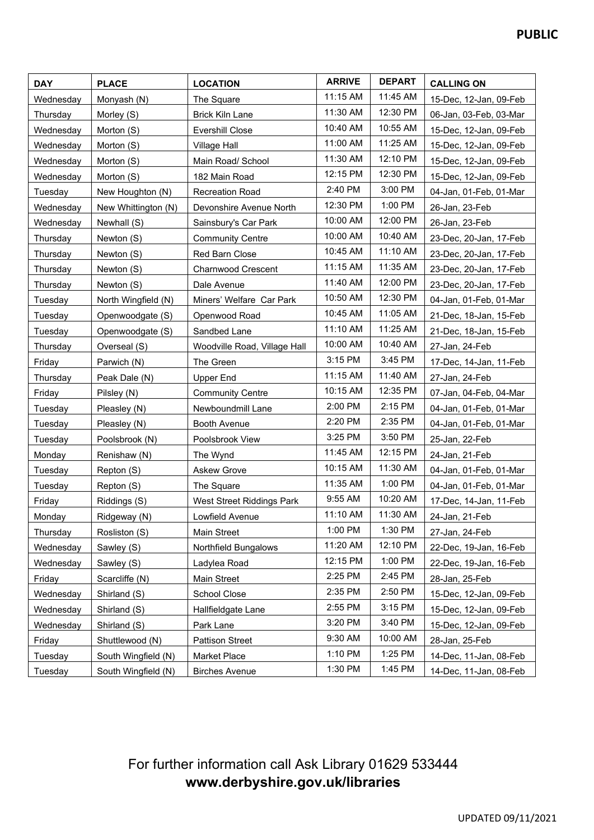| <b>DAY</b> | <b>PLACE</b>        | <b>LOCATION</b>              | <b>ARRIVE</b> | <b>DEPART</b> | <b>CALLING ON</b>      |
|------------|---------------------|------------------------------|---------------|---------------|------------------------|
| Wednesday  | Monyash (N)         | The Square                   | 11:15 AM      | 11:45 AM      | 15-Dec, 12-Jan, 09-Feb |
| Thursday   | Morley (S)          | <b>Brick Kiln Lane</b>       | 11:30 AM      | 12:30 PM      | 06-Jan, 03-Feb, 03-Mar |
| Wednesday  | Morton (S)          | Evershill Close              | 10:40 AM      | 10:55 AM      | 15-Dec, 12-Jan, 09-Feb |
| Wednesday  | Morton (S)          | Village Hall                 | 11:00 AM      | 11:25 AM      | 15-Dec, 12-Jan, 09-Feb |
| Wednesday  | Morton (S)          | Main Road/ School            | 11:30 AM      | 12:10 PM      | 15-Dec, 12-Jan, 09-Feb |
| Wednesday  | Morton (S)          | 182 Main Road                | 12:15 PM      | 12:30 PM      | 15-Dec, 12-Jan, 09-Feb |
| Tuesday    | New Houghton (N)    | <b>Recreation Road</b>       | 2:40 PM       | 3:00 PM       | 04-Jan, 01-Feb, 01-Mar |
| Wednesday  | New Whittington (N) | Devonshire Avenue North      | 12:30 PM      | 1:00 PM       | 26-Jan, 23-Feb         |
| Wednesday  | Newhall (S)         | Sainsbury's Car Park         | 10:00 AM      | 12:00 PM      | 26-Jan, 23-Feb         |
| Thursday   | Newton (S)          | <b>Community Centre</b>      | 10:00 AM      | 10:40 AM      | 23-Dec, 20-Jan, 17-Feb |
| Thursday   | Newton (S)          | Red Barn Close               | 10:45 AM      | 11:10 AM      | 23-Dec, 20-Jan, 17-Feb |
| Thursday   | Newton (S)          | <b>Charnwood Crescent</b>    | 11:15 AM      | 11:35 AM      | 23-Dec, 20-Jan, 17-Feb |
| Thursday   | Newton (S)          | Dale Avenue                  | 11:40 AM      | 12:00 PM      | 23-Dec, 20-Jan, 17-Feb |
| Tuesday    | North Wingfield (N) | Miners' Welfare Car Park     | 10:50 AM      | 12:30 PM      | 04-Jan, 01-Feb, 01-Mar |
| Tuesday    | Openwoodgate (S)    | Openwood Road                | 10:45 AM      | 11:05 AM      | 21-Dec, 18-Jan, 15-Feb |
| Tuesday    | Openwoodgate (S)    | Sandbed Lane                 | 11:10 AM      | 11:25 AM      | 21-Dec, 18-Jan, 15-Feb |
| Thursday   | Overseal (S)        | Woodville Road, Village Hall | 10:00 AM      | 10:40 AM      | 27-Jan, 24-Feb         |
| Friday     | Parwich (N)         | The Green                    | 3:15 PM       | 3:45 PM       | 17-Dec, 14-Jan, 11-Feb |
| Thursday   | Peak Dale (N)       | <b>Upper End</b>             | 11:15 AM      | 11:40 AM      | 27-Jan, 24-Feb         |
| Friday     | Pilsley (N)         | <b>Community Centre</b>      | 10:15 AM      | 12:35 PM      | 07-Jan, 04-Feb, 04-Mar |
| Tuesday    | Pleasley (N)        | Newboundmill Lane            | 2:00 PM       | 2:15 PM       | 04-Jan, 01-Feb, 01-Mar |
| Tuesday    | Pleasley (N)        | Booth Avenue                 | 2:20 PM       | 2:35 PM       | 04-Jan, 01-Feb, 01-Mar |
| Tuesday    | Poolsbrook (N)      | Poolsbrook View              | 3:25 PM       | 3:50 PM       | 25-Jan, 22-Feb         |
| Monday     | Renishaw (N)        | The Wynd                     | 11:45 AM      | 12:15 PM      | 24-Jan, 21-Feb         |
| Tuesday    | Repton (S)          | <b>Askew Grove</b>           | 10:15 AM      | 11:30 AM      | 04-Jan, 01-Feb, 01-Mar |
| Tuesday    | Repton (S)          | The Square                   | 11:35 AM      | 1:00 PM       | 04-Jan, 01-Feb, 01-Mar |
| Friday     | Riddings (S)        | West Street Riddings Park    | 9:55 AM       | 10:20 AM      | 17-Dec, 14-Jan, 11-Feb |
| Monday     | Ridgeway (N)        | Lowfield Avenue              | 11:10 AM      | 11:30 AM      | 24-Jan, 21-Feb         |
| Thursday   | Rosliston (S)       | Main Street                  | 1:00 PM       | 1:30 PM       | 27-Jan, 24-Feb         |
| Wednesday  | Sawley (S)          | Northfield Bungalows         | 11:20 AM      | 12:10 PM      | 22-Dec, 19-Jan, 16-Feb |
| Wednesday  | Sawley (S)          | Ladylea Road                 | 12:15 PM      | 1:00 PM       | 22-Dec, 19-Jan, 16-Feb |
| Friday     | Scarcliffe (N)      | <b>Main Street</b>           | 2:25 PM       | 2:45 PM       | 28-Jan, 25-Feb         |
| Wednesday  | Shirland (S)        | School Close                 | 2:35 PM       | 2:50 PM       | 15-Dec, 12-Jan, 09-Feb |
| Wednesday  | Shirland (S)        | Hallfieldgate Lane           | 2:55 PM       | 3:15 PM       | 15-Dec, 12-Jan, 09-Feb |
| Wednesday  | Shirland (S)        | Park Lane                    | 3:20 PM       | 3:40 PM       | 15-Dec, 12-Jan, 09-Feb |
| Friday     | Shuttlewood (N)     | <b>Pattison Street</b>       | 9:30 AM       | 10:00 AM      | 28-Jan, 25-Feb         |
| Tuesday    | South Wingfield (N) | Market Place                 | 1:10 PM       | 1:25 PM       | 14-Dec, 11-Jan, 08-Feb |
| Tuesday    | South Wingfield (N) | <b>Birches Avenue</b>        | 1:30 PM       | 1:45 PM       | 14-Dec, 11-Jan, 08-Feb |

# For further information call Ask Library 01629 533444 **www.derbyshire.gov.uk/libraries**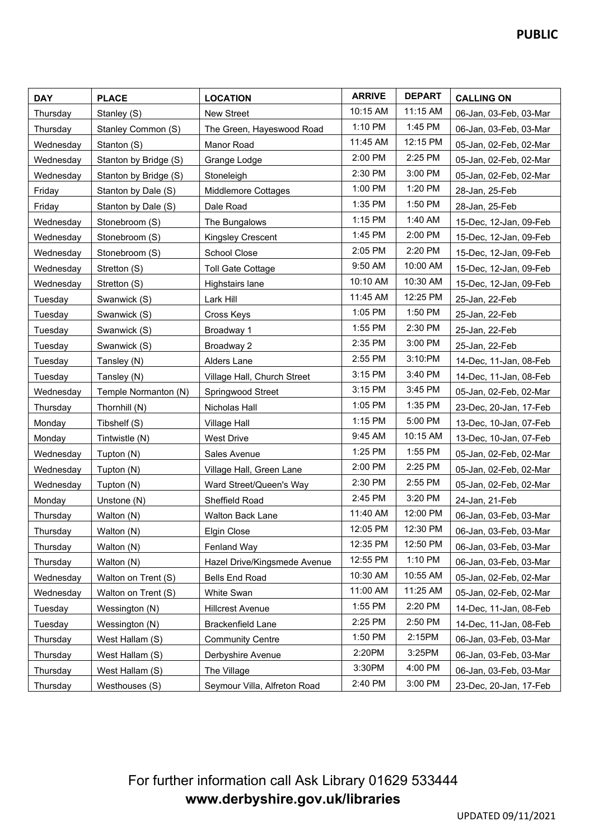| <b>DAY</b> | <b>PLACE</b>          | <b>LOCATION</b>              | <b>ARRIVE</b> | <b>DEPART</b> | <b>CALLING ON</b>      |
|------------|-----------------------|------------------------------|---------------|---------------|------------------------|
| Thursday   | Stanley (S)           | <b>New Street</b>            | 10:15 AM      | 11:15 AM      | 06-Jan, 03-Feb, 03-Mar |
| Thursday   | Stanley Common (S)    | The Green, Hayeswood Road    | 1:10 PM       | 1:45 PM       | 06-Jan, 03-Feb, 03-Mar |
| Wednesday  | Stanton (S)           | Manor Road                   | 11:45 AM      | 12:15 PM      | 05-Jan, 02-Feb, 02-Mar |
| Wednesday  | Stanton by Bridge (S) | Grange Lodge                 | 2:00 PM       | 2:25 PM       | 05-Jan, 02-Feb, 02-Mar |
| Wednesday  | Stanton by Bridge (S) | Stoneleigh                   | 2:30 PM       | 3:00 PM       | 05-Jan, 02-Feb, 02-Mar |
| Friday     | Stanton by Dale (S)   | <b>Middlemore Cottages</b>   | 1:00 PM       | 1:20 PM       | 28-Jan, 25-Feb         |
| Friday     | Stanton by Dale (S)   | Dale Road                    | 1:35 PM       | 1:50 PM       | 28-Jan, 25-Feb         |
| Wednesday  | Stonebroom (S)        | The Bungalows                | 1:15 PM       | 1:40 AM       | 15-Dec, 12-Jan, 09-Feb |
| Wednesday  | Stonebroom (S)        | Kingsley Crescent            | 1:45 PM       | 2:00 PM       | 15-Dec, 12-Jan, 09-Feb |
| Wednesday  | Stonebroom (S)        | School Close                 | 2:05 PM       | 2:20 PM       | 15-Dec, 12-Jan, 09-Feb |
| Wednesday  | Stretton (S)          | <b>Toll Gate Cottage</b>     | 9:50 AM       | 10:00 AM      | 15-Dec, 12-Jan, 09-Feb |
| Wednesday  | Stretton (S)          | Highstairs lane              | 10:10 AM      | 10:30 AM      | 15-Dec, 12-Jan, 09-Feb |
| Tuesday    | Swanwick (S)          | Lark Hill                    | 11:45 AM      | 12:25 PM      | 25-Jan, 22-Feb         |
| Tuesday    | Swanwick (S)          | Cross Keys                   | 1:05 PM       | 1:50 PM       | 25-Jan, 22-Feb         |
| Tuesday    | Swanwick (S)          | Broadway 1                   | 1:55 PM       | 2:30 PM       | 25-Jan, 22-Feb         |
| Tuesday    | Swanwick (S)          | Broadway 2                   | 2:35 PM       | 3:00 PM       | 25-Jan, 22-Feb         |
| Tuesday    | Tansley (N)           | Alders Lane                  | 2:55 PM       | 3:10:PM       | 14-Dec, 11-Jan, 08-Feb |
| Tuesday    | Tansley (N)           | Village Hall, Church Street  | 3:15 PM       | 3:40 PM       | 14-Dec, 11-Jan, 08-Feb |
| Wednesday  | Temple Normanton (N)  | Springwood Street            | 3:15 PM       | 3:45 PM       | 05-Jan, 02-Feb, 02-Mar |
| Thursday   | Thornhill (N)         | Nicholas Hall                | 1:05 PM       | 1:35 PM       | 23-Dec, 20-Jan, 17-Feb |
| Monday     | Tibshelf (S)          | <b>Village Hall</b>          | 1:15 PM       | 5:00 PM       | 13-Dec, 10-Jan, 07-Feb |
| Monday     | Tintwistle (N)        | <b>West Drive</b>            | 9:45 AM       | 10:15 AM      | 13-Dec, 10-Jan, 07-Feb |
| Wednesday  | Tupton (N)            | Sales Avenue                 | 1:25 PM       | 1:55 PM       | 05-Jan, 02-Feb, 02-Mar |
| Wednesday  | Tupton (N)            | Village Hall, Green Lane     | 2:00 PM       | 2:25 PM       | 05-Jan, 02-Feb, 02-Mar |
| Wednesday  | Tupton (N)            | Ward Street/Queen's Way      | 2:30 PM       | 2:55 PM       | 05-Jan, 02-Feb, 02-Mar |
| Monday     | Unstone (N)           | Sheffield Road               | 2:45 PM       | 3:20 PM       | 24-Jan, 21-Feb         |
| Thursday   | Walton (N)            | Walton Back Lane             | 11:40 AM      | 12:00 PM      | 06-Jan, 03-Feb, 03-Mar |
| Thursday   | Walton (N)            | Elgin Close                  | 12:05 PM      | 12:30 PM      | 06-Jan, 03-Feb, 03-Mar |
| Thursday   | Walton (N)            | Fenland Way                  | 12:35 PM      | 12:50 PM      | 06-Jan, 03-Feb, 03-Mar |
| Thursday   | Walton (N)            | Hazel Drive/Kingsmede Avenue | 12:55 PM      | 1:10 PM       | 06-Jan, 03-Feb, 03-Mar |
| Wednesday  | Walton on Trent (S)   | Bells End Road               | 10:30 AM      | 10:55 AM      | 05-Jan, 02-Feb, 02-Mar |
| Wednesday  | Walton on Trent (S)   | White Swan                   | 11:00 AM      | 11:25 AM      | 05-Jan, 02-Feb, 02-Mar |
| Tuesday    | Wessington (N)        | <b>Hillcrest Avenue</b>      | 1:55 PM       | 2:20 PM       | 14-Dec, 11-Jan, 08-Feb |
| Tuesday    | Wessington (N)        | Brackenfield Lane            | 2:25 PM       | 2:50 PM       | 14-Dec, 11-Jan, 08-Feb |
| Thursday   | West Hallam (S)       | <b>Community Centre</b>      | 1:50 PM       | 2:15PM        | 06-Jan, 03-Feb, 03-Mar |
| Thursday   | West Hallam (S)       | Derbyshire Avenue            | 2:20PM        | 3:25PM        | 06-Jan, 03-Feb, 03-Mar |
| Thursday   | West Hallam (S)       | The Village                  | 3:30PM        | 4:00 PM       | 06-Jan, 03-Feb, 03-Mar |
| Thursday   | Westhouses (S)        | Seymour Villa, Alfreton Road | 2:40 PM       | 3:00 PM       | 23-Dec, 20-Jan, 17-Feb |